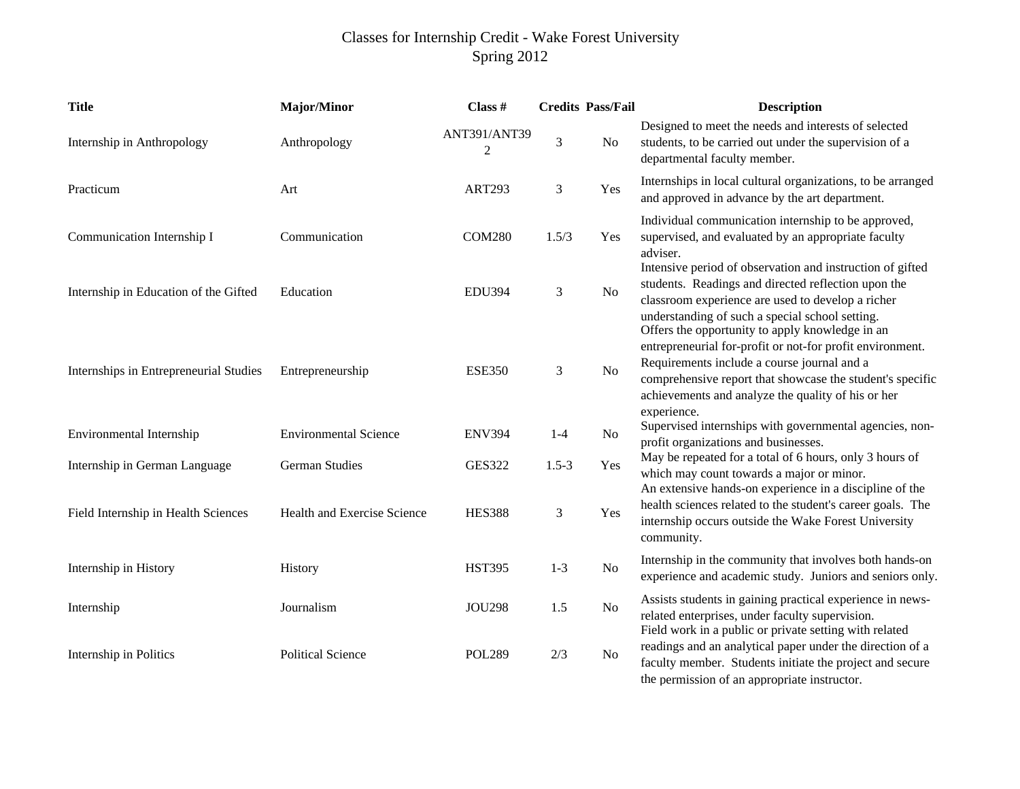## Classes for Internship Credit - Wake Forest University Spring 2012

| <b>Title</b>                           | <b>Major/Minor</b>           | Class $#$         |                | <b>Credits Pass/Fail</b> | <b>Description</b>                                                                                                                                                                                                                                                          |
|----------------------------------------|------------------------------|-------------------|----------------|--------------------------|-----------------------------------------------------------------------------------------------------------------------------------------------------------------------------------------------------------------------------------------------------------------------------|
| Internship in Anthropology             | Anthropology                 | ANT391/ANT39<br>2 | $\mathfrak{Z}$ | N <sub>o</sub>           | Designed to meet the needs and interests of selected<br>students, to be carried out under the supervision of a<br>departmental faculty member.                                                                                                                              |
| Practicum                              | Art                          | <b>ART293</b>     | $\mathfrak 3$  | Yes                      | Internships in local cultural organizations, to be arranged<br>and approved in advance by the art department.                                                                                                                                                               |
| Communication Internship I             | Communication                | <b>COM280</b>     | 1.5/3          | Yes                      | Individual communication internship to be approved,<br>supervised, and evaluated by an appropriate faculty<br>adviser.                                                                                                                                                      |
| Internship in Education of the Gifted  | Education                    | <b>EDU394</b>     | $\mathfrak{Z}$ | $\rm No$                 | Intensive period of observation and instruction of gifted<br>students. Readings and directed reflection upon the<br>classroom experience are used to develop a richer<br>understanding of such a special school setting.<br>Offers the opportunity to apply knowledge in an |
| Internships in Entrepreneurial Studies | Entrepreneurship             | <b>ESE350</b>     | 3              | $\rm No$                 | entrepreneurial for-profit or not-for profit environment.<br>Requirements include a course journal and a<br>comprehensive report that showcase the student's specific<br>achievements and analyze the quality of his or her<br>experience.                                  |
| Environmental Internship               | <b>Environmental Science</b> | <b>ENV394</b>     | $1-4$          | N <sub>o</sub>           | Supervised internships with governmental agencies, non-<br>profit organizations and businesses.                                                                                                                                                                             |
| Internship in German Language          | <b>German Studies</b>        | <b>GES322</b>     | $1.5 - 3$      | Yes                      | May be repeated for a total of 6 hours, only 3 hours of<br>which may count towards a major or minor.                                                                                                                                                                        |
| Field Internship in Health Sciences    | Health and Exercise Science  | <b>HES388</b>     | $\mathfrak 3$  | Yes                      | An extensive hands-on experience in a discipline of the<br>health sciences related to the student's career goals. The<br>internship occurs outside the Wake Forest University<br>community.                                                                                 |
| Internship in History                  | History                      | <b>HST395</b>     | $1 - 3$        | $\rm No$                 | Internship in the community that involves both hands-on<br>experience and academic study. Juniors and seniors only.                                                                                                                                                         |
| Internship                             | Journalism                   | <b>JOU298</b>     | 1.5            | N <sub>o</sub>           | Assists students in gaining practical experience in news-<br>related enterprises, under faculty supervision.<br>Field work in a public or private setting with related                                                                                                      |
| Internship in Politics                 | <b>Political Science</b>     | <b>POL289</b>     | 2/3            | N <sub>o</sub>           | readings and an analytical paper under the direction of a<br>faculty member. Students initiate the project and secure<br>the permission of an appropriate instructor.                                                                                                       |